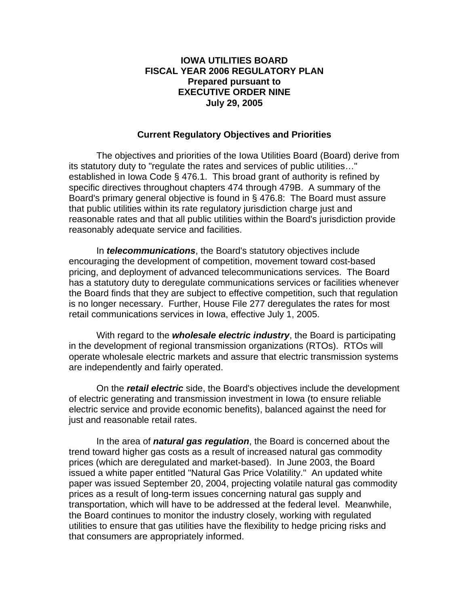### **IOWA UTILITIES BOARD FISCAL YEAR 2006 REGULATORY PLAN Prepared pursuant to EXECUTIVE ORDER NINE July 29, 2005**

### **Current Regulatory Objectives and Priorities**

 The objectives and priorities of the Iowa Utilities Board (Board) derive from its statutory duty to "regulate the rates and services of public utilities…" established in Iowa Code § 476.1. This broad grant of authority is refined by specific directives throughout chapters 474 through 479B. A summary of the Board's primary general objective is found in § 476.8: The Board must assure that public utilities within its rate regulatory jurisdiction charge just and reasonable rates and that all public utilities within the Board's jurisdiction provide reasonably adequate service and facilities.

In *telecommunications*, the Board's statutory objectives include encouraging the development of competition, movement toward cost-based pricing, and deployment of advanced telecommunications services. The Board has a statutory duty to deregulate communications services or facilities whenever the Board finds that they are subject to effective competition, such that regulation is no longer necessary. Further, House File 277 deregulates the rates for most retail communications services in Iowa, effective July 1, 2005.

With regard to the *wholesale electric industry*, the Board is participating in the development of regional transmission organizations (RTOs). RTOs will operate wholesale electric markets and assure that electric transmission systems are independently and fairly operated.

On the *retail electric* side, the Board's objectives include the development of electric generating and transmission investment in Iowa (to ensure reliable electric service and provide economic benefits), balanced against the need for just and reasonable retail rates.

 In the area of *natural gas regulation*, the Board is concerned about the trend toward higher gas costs as a result of increased natural gas commodity prices (which are deregulated and market-based). In June 2003, the Board issued a white paper entitled "Natural Gas Price Volatility." An updated white paper was issued September 20, 2004, projecting volatile natural gas commodity prices as a result of long-term issues concerning natural gas supply and transportation, which will have to be addressed at the federal level. Meanwhile, the Board continues to monitor the industry closely, working with regulated utilities to ensure that gas utilities have the flexibility to hedge pricing risks and that consumers are appropriately informed.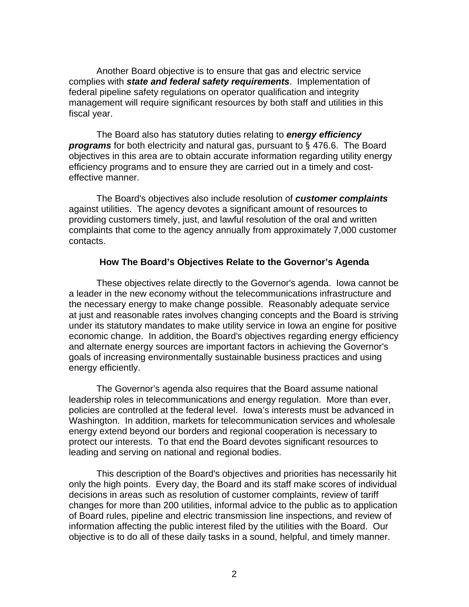Another Board objective is to ensure that gas and electric service complies with *state and federal safety requirements*. Implementation of federal pipeline safety regulations on operator qualification and integrity management will require significant resources by both staff and utilities in this fiscal year.

 The Board also has statutory duties relating to *energy efficiency programs* for both electricity and natural gas, pursuant to § 476.6. The Board objectives in this area are to obtain accurate information regarding utility energy efficiency programs and to ensure they are carried out in a timely and costeffective manner.

 The Board's objectives also include resolution of *customer complaints*  against utilities. The agency devotes a significant amount of resources to providing customers timely, just, and lawful resolution of the oral and written complaints that come to the agency annually from approximately 7,000 customer contacts.

### **How The Board's Objectives Relate to the Governor's Agenda**

 These objectives relate directly to the Governor's agenda. Iowa cannot be a leader in the new economy without the telecommunications infrastructure and the necessary energy to make change possible. Reasonably adequate service at just and reasonable rates involves changing concepts and the Board is striving under its statutory mandates to make utility service in Iowa an engine for positive economic change. In addition, the Board's objectives regarding energy efficiency and alternate energy sources are important factors in achieving the Governor's goals of increasing environmentally sustainable business practices and using energy efficiently.

The Governor's agenda also requires that the Board assume national leadership roles in telecommunications and energy regulation. More than ever, policies are controlled at the federal level. Iowa's interests must be advanced in Washington. In addition, markets for telecommunication services and wholesale energy extend beyond our borders and regional cooperation is necessary to protect our interests. To that end the Board devotes significant resources to leading and serving on national and regional bodies.

 This description of the Board's objectives and priorities has necessarily hit only the high points. Every day, the Board and its staff make scores of individual decisions in areas such as resolution of customer complaints, review of tariff changes for more than 200 utilities, informal advice to the public as to application of Board rules, pipeline and electric transmission line inspections, and review of information affecting the public interest filed by the utilities with the Board. Our objective is to do all of these daily tasks in a sound, helpful, and timely manner.